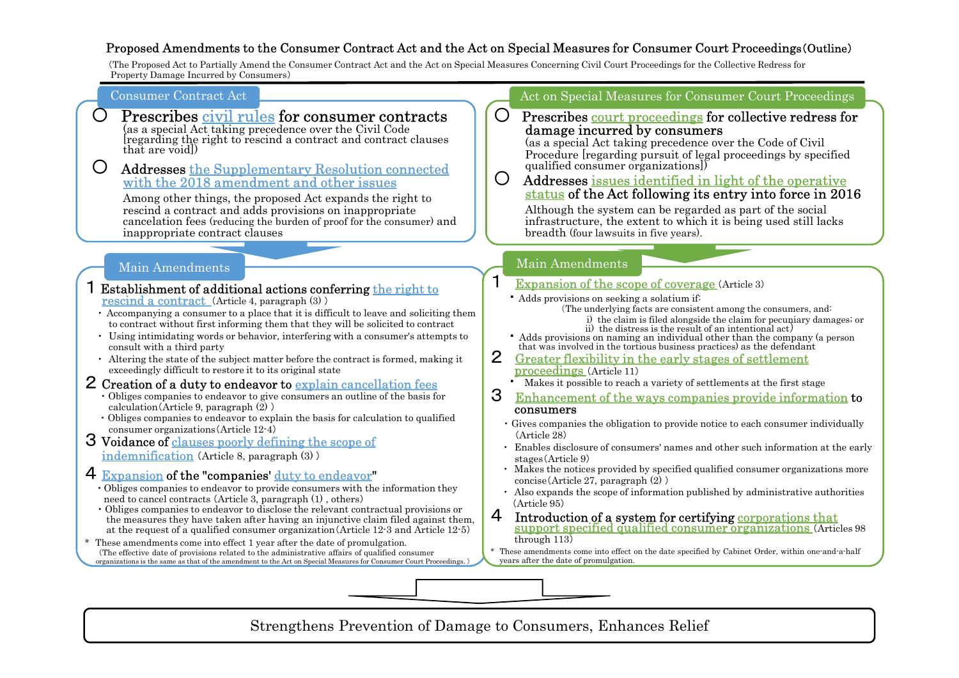## Proposed Amendments to the Consumer Contract Act and the Act on Special Measures for Consumer Court Proceedings(Outline)

(The Proposed Act to Partially Amend the Consumer Contract Act and the Act on Special Measures Concerning Civil Court Proceedings for the Collective Redress for Property Damage Incurred by Consumers)

| <b>Consumer Contract Act</b> |  |
|------------------------------|--|
|                              |  |

# **Prescribes civil rules for consumer contracts**<br>(as a special Act taking precedence over the Civil Code

(as a special Act taking precedence over the CIVI Code<br>[regarding the right to rescind a contract and contract clauses that are void])

# <sup>〇</sup> Addresses the Supplementary Resolution connected with the 2018 amendment and other issues

Among other things, the proposed Act expands the right to rescind a contract and adds provisions on inappropriate cancelation fees (reducing the burden of proof for the consumer) and inappropriate contract clauses

## Main Amendments

- 1 Establishment of additional actions conferring the right to rescind a contract (Article 4, paragraph  $(3)$ )
	- ・ Accompanying a consumer to a place that it is difficult to leave and soliciting them to contract without first informing them that they will be solicited to contract
	- Using intimidating words or behavior, interfering with a consumer's attempts to<br>consult with a third party<br>that was involved in the tortious business practices) as the defendant consult with a third party
	- Altering the state of the subject matter before the contract is formed, making it exceedingly difficult to restore it to its original state exceedingly difficult to restore it to its original state
- 2 Creation of a duty to endeavor to <u>explain cancellation fees</u> Obliges companies to endeavor to give consumers an outline of the basis for 3
	- ・ Obliges companies to endeavor to give consumers an outline of the basis for calculation(Article 9, paragraph  $(2)$ )
	- Obliges companies to endeavor to explain the basis for calculation to qualified consumer organizations (Article  $12-4$ )

### 3 Voidance of clauses poorly defining the scope of indemnification (Article 8, paragraph (3) )

## 4 Expansion of the "companies' duty to endeavor"

- ・ Obliges companies to endeavor to provide consumers with the information they need to cancel contracts (Article 3, paragraph (1) , others)
- Obliges companies to endeavor to disclose the relevant contractual provisions or  $\mathcal{L}$   $\mathcal{L}$   $\mathcal{L}$   $\mathcal{L}$   $\mathcal{L}$   $\mathcal{L}$   $\mathcal{L}$   $\mathcal{L}$   $\mathcal{L}$   $\mathcal{L}$   $\mathcal{L}$   $\mathcal{L}$   $\mathcal{L}$   $\mathcal{L}$   $\mathcal{L}$   $\math$ the measures they have taken after having an injunctive claim filed against them, at the request of a qualified consumer organization(Article 12-3 and Article 12-5) Main Amendments<br>
Testablishment of additional actions conferring the right to<br>
rescind a consumer to a place that it is difficult to leave and soliciting the<br>
tecompanying a consumer to a place that it is difficult to lea
- organizations is the same as that of the amendment to the Act on Special Measures for Consumer Court Proceedings. )

### Act on Special Measures for Consumer Court Proceedings

 $\overline{O}$  Prescribes <u>court proceedings</u> for collective redress for damage incurred by consumers (as a special Act taking precedence over the Code of Civil

Procedure (regarding pursuit of legal proceedings by specified qualified consumer organizations])

O Addresses issues identified in light of the operative status of the Act following its entry into force in 2016

Although the system can be regarded as part of the social infrastructure, the extent to which it is being used still lacks breadth (four lawsuits in five years). Special Measures for Consumer Court Proceedings (Outline)<br>
ures Concerning Civil Court Proceedings for the Collective Redress for<br>
Act on Special Measures for Consumer Court Proceedings<br>
Prescribes <u>court proceedings</u> for

## Main Amendments

## **1** Expansion of the scope of coverage (Article 3)

- - (The underlying facts are consistent among the consumers, and: i) the claim is filed alongside the claim for pecuniary damages; or
- the distress is the result of an intentional act)<br>
 Adds provisions on naming an individual other than the company (a person that was involved in the tortious business practices) as the defendant
- Greater flexibility in the early stages of settlement
	- ・ Makes it possible to reach a variety of settlements at the first stage
- Enhancement of the ways companies provide information to consumers
- ・ Gives companies the obligation to provide notice to each consumer individually (Article 28)
- ・ Enables disclosure of consumers' names and other such information at the early stages(Article 9)
- ・ Makes the notices provided by specified qualified consumer organizations more concise(Article 27, paragraph (2) )
- ・ Also expands the scope of information published by administrative authorities (Article 95)
- support specified qualified consumer organizations (Articles 98 through 113) Main Amendments<br>
• Regnansion of the scope of coverage (Article 3)<br>
• Adds provisions on seeking a solation if<br>
"The underlying facts are consistent among the consumers, and:<br>
"The underlying facts are consistent among the
- The effective date of provisions related to the administrative affairs of qualified consumer  $\downarrow$  These amendments come into effect on the date specified by Cabinet Order, within one and a half years after the date of promulgation.

Strengthens Prevention of Damage to Consumers, Enhances Relief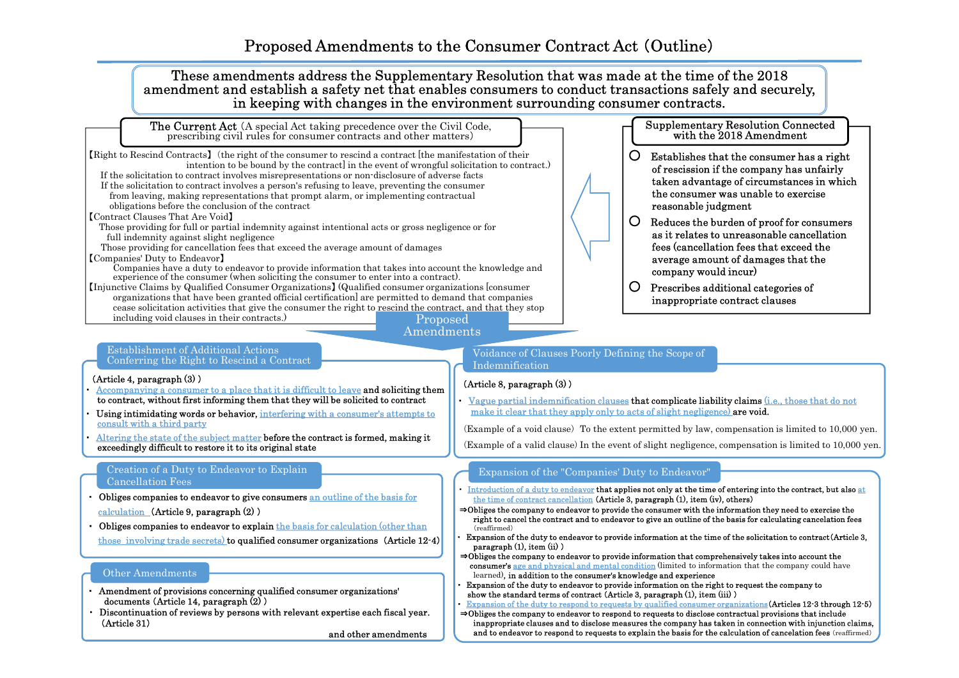$\overline{\hspace{1cm}}$ 【Right to Rescind Contracts】(the right of the consumer to rescind a contract [the manifestation of their intention to be bound by the contract] in the event of wrongful solicitation to contract.) of rescission if the company has unfairly If the solicitation to contract involves misrepresentations or non-disclosure of adverse facts **adventure of a states and all the company is a suitarly** taken advantage of circumstances in which If the solicitation to contract involves a person's refusing to leave, preventing the consumer from leaving, making representations that prompt alarm, or implementing contractual obligations before the conclusion of the contract 【Contract Clauses That Are Void】 Those providing for full or partial indemnity against intentional acts or gross negligence or for full indemnity against slight negligence Those providing for cancellation fees that exceed the average amount of damages 【Companies' Duty to Endeavor】 experience of the consumer (when soliciting the consumer to enter into a contract). 【Injunctive Claims by Qualified Consumer Organizations】 (Qualified consumer organizations [consumer organizations that have been granted official certification] are permitted to demand that companies cease solicitation activities that give the consumer the right to rescind the contract, and that they stop including void clauses in their contracts.) **The Current Act** (A special Act taking precedence over the Civil Code, prescribing civil rules for consumer contracts and other matters) Supplementary Resolution Connected with the 2018 Amendment <sup>〇</sup> Establishes that the consumer has a right of rescission if the company has unfairly taken advantage of circumstances in which the consumer was unable to exercise reasonable judgment Reduces the burden of proof for consumers<br>as it relates to unreasonable cancellation<br>fees (cancellation fees that exceed the average amount of damages that the company would incur) Prescribes additional categories of<br>inappropriate contract clauses These amendments address the Supplementary Resolution that was made at the time of the 2018<br>amendment and establish a safety net that enables consumers to conduct transactions safely and securely,<br>in keeping with changes i Proposed Amendments

### Establishment of Additional Actions Conferring the Right to Rescind a Contract

- (Article 4, paragraph (3) )<br>Accompanying a consumer to a place that it is difficult to leave and soliciting them to contract, without first informing them that they will be solicited to contract
- Using intimidating words or behavior, interfering with a consumer's attempts to consult with a third party
- Altering the state of the subject matter before the contract is formed, making it exceedingly difficult to restore it to its original state

### Creation of a Duty to Endeavor to Explain Cancellation Fees

- ・ Obliges companies to endeavor to give consumers an outline of the basis for calculation (Article 9, paragraph (2) )
- ・ Obliges companies to endeavor to explain the basis for calculation (other than those involving trade secrets) to qualified consumer organizations(Article 12-4)

### Other Amendments

- ・ Amendment of provisions concerning qualified consumer organizations' documents (Article 14, paragraph (2) )
- ・ Discontinuation of reviews by persons with relevant expertise each fiscal year. (Article 31)

and other amendments

### Voidance of Clauses Poorly Defining the Scope of Indemnification

### (Article 8, paragraph (3) )

・ Vague partial indemnification clauses that complicate liability claims (i.e., those that do not make it clear that they apply only to acts of slight negligence) are void.

(Example of a void clause) To the extent permitted by law, compensation is limited to 10,000 yen.

(Example of a valid clause) In the event of slight negligence, compensation is limited to 10,000 yen.

### Expansion of the "Companies' Duty to Endeavor"

- Introduction of a duty to endeavor that applies not only at the time of entering into the contract, but also at the time of contract cancellation (Article 3, paragraph (1), item (iv), others)
- <sup>⇒</sup>Obliges the company to endeavor to provide the consumer with the information they need to exercise the right to cancel the contract and to endeavor to give an outline of the basis for calculating cancelation fees (reaffirmed)
- Expansion of the duty to endeavor to provide information at the time of the solicitation to contract(Article 3, paragraph (1), item (ii) )
- $\Rightarrow$ Obliges the company to endeavor to provide information that comprehensively takes into account the consumer's age and physical and mental condition (limited to information that the company could have learned), in addition to the consumer's knowledge and experience
- ・ Expansion of the duty to endeavor to provide information on the right to request the company to show the standard terms of contract (Article 3, paragraph (1), item (iii) )
- **Expansion of the duty to respond to requests by qualified consumer organizations (Articles 12-3 through 12-5)**<br>  $\Rightarrow$  Obliges the company to endeavor to respond to requests to disclose contractual provisions that include
- inappropriate clauses and to disclose measures the company has taken in connection with injunction claims,<br>and to endeavor to respond to requests to explain the basis for the calculation of cancelation fees (reaffirmed)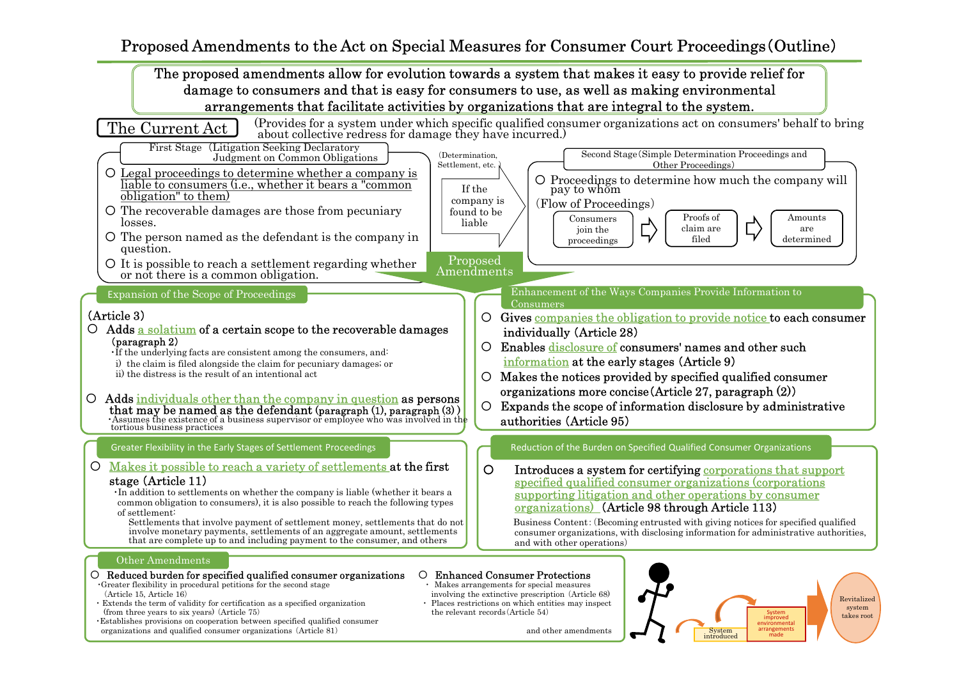# Proposed Amendments to the Act on Special Measures for Consumer Court Proceedings(Outline)

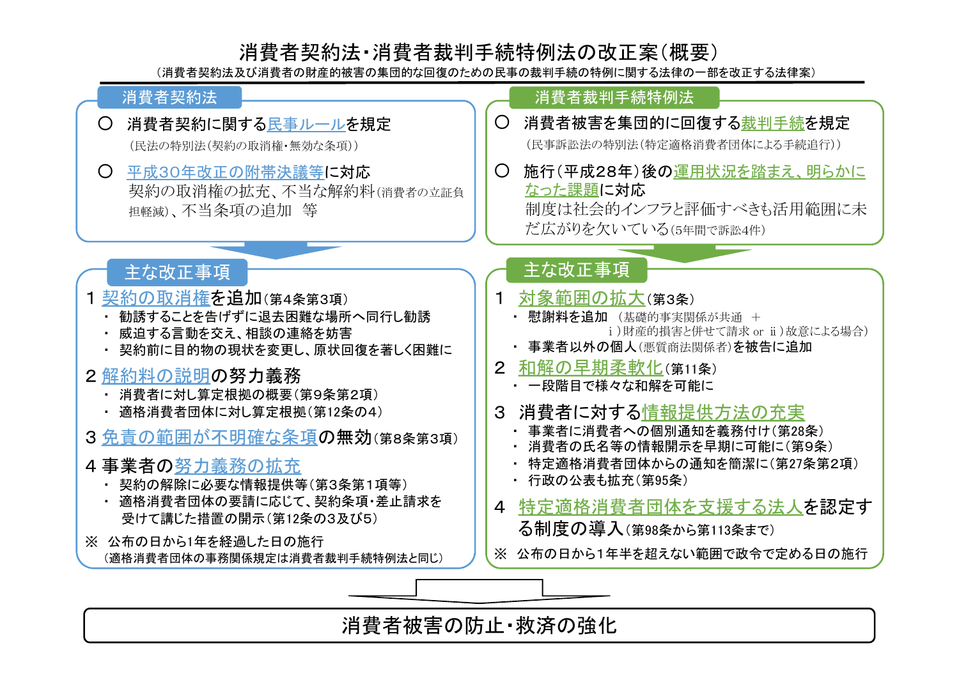# 消費者契約法・消費者裁判手続特例法の改正案(概要)

(消費者契約法及び消費者の財産的被害の集団的な回復のための民事の裁判手続の特例に関する法律の一部を改正する法律案)



消費者被害の防止・救済の強化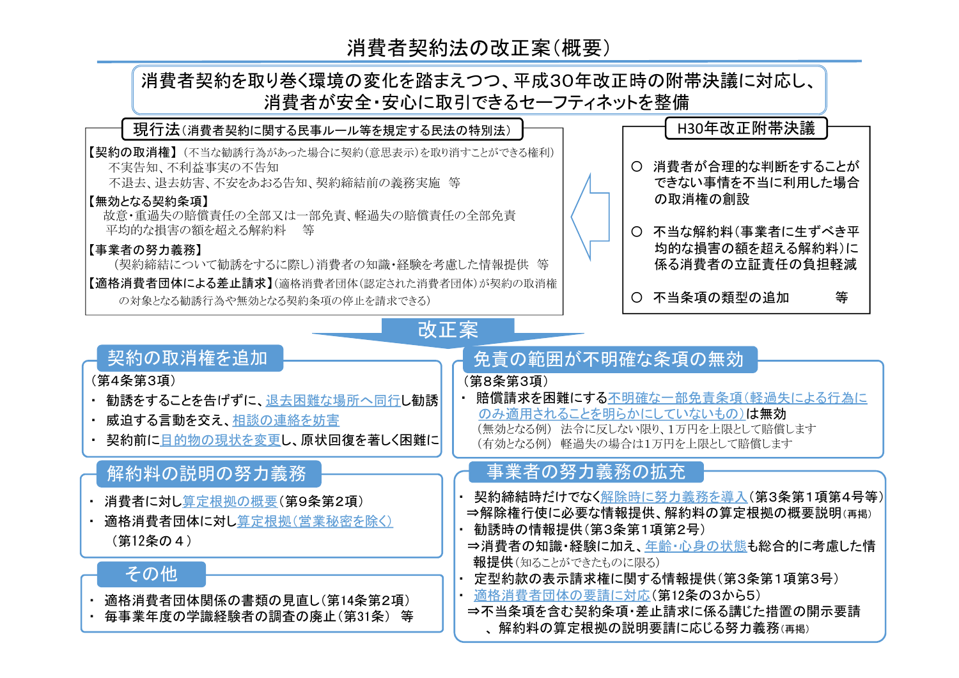# 消費者契約法の改正案(概要)